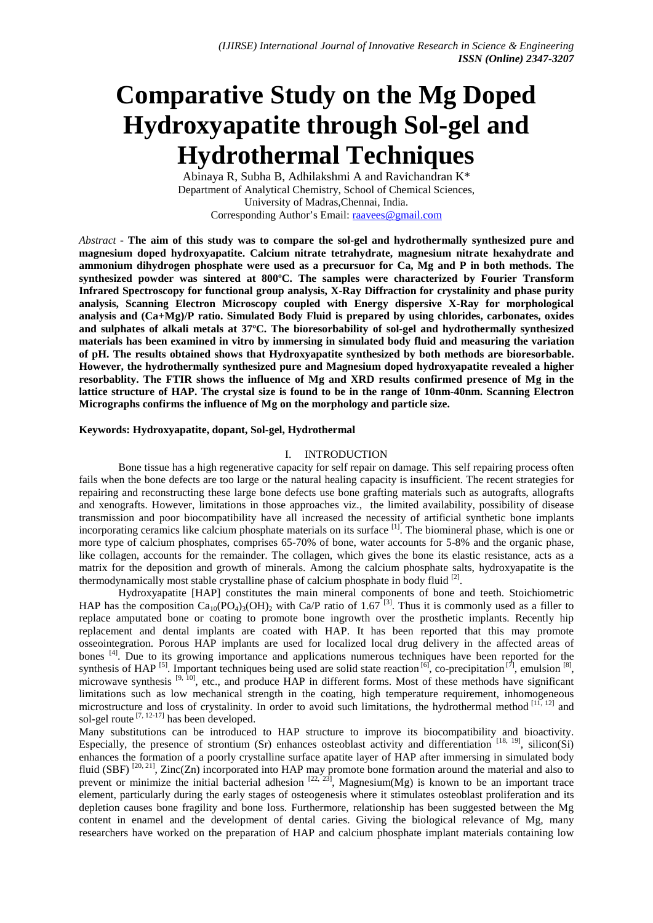# **Comparative Study on the Mg Doped Hydroxyapatite through Sol-gel and Hydrothermal Techniques**

Abinaya R, Subha B, Adhilakshmi A and Ravichandran K\* Department of Analytical Chemistry, School of Chemical Sciences, University of Madras,Chennai, India. Corresponding Author's Email: raavees@gmail.com

*Abstract* - **The aim of this study was to compare the sol-gel and hydrothermally synthesized pure and magnesium doped hydroxyapatite. Calcium nitrate tetrahydrate, magnesium nitrate hexahydrate and ammonium dihydrogen phosphate were used as a precursuor for Ca, Mg and P in both methods. The synthesized powder was sintered at 800ºC. The samples were characterized by Fourier Transform Infrared Spectroscopy for functional group analysis, X-Ray Diffraction for crystalinity and phase purity analysis, Scanning Electron Microscopy coupled with Energy dispersive X-Ray for morphological analysis and (Ca+Mg)/P ratio. Simulated Body Fluid is prepared by using chlorides, carbonates, oxides and sulphates of alkali metals at 37ºC. The bioresorbability of sol-gel and hydrothermally synthesized materials has been examined in vitro by immersing in simulated body fluid and measuring the variation of pH. The results obtained shows that Hydroxyapatite synthesized by both methods are bioresorbable. However, the hydrothermally synthesized pure and Magnesium doped hydroxyapatite revealed a higher resorbablity. The FTIR shows the influence of Mg and XRD results confirmed presence of Mg in the lattice structure of HAP. The crystal size is found to be in the range of 10nm-40nm. Scanning Electron Micrographs confirms the influence of Mg on the morphology and particle size.**

## **Keywords: Hydroxyapatite, dopant, Sol-gel, Hydrothermal**

#### I. INTRODUCTION

Bone tissue has a high regenerative capacity for self repair on damage. This self repairing process often fails when the bone defects are too large or the natural healing capacity is insufficient. The recent strategies for repairing and reconstructing these large bone defects use bone grafting materials such as autografts, allografts and xenografts. However, limitations in those approaches viz., the limited availability, possibility of disease transmission and poor biocompatibility have all increased the necessity of artificial synthetic bone implants incorporating ceramics like calcium phosphate materials on its surface <sup>[1]</sup>. The biomineral phase, which is one or more type of calcium phosphates, comprises 65-70% of bone, water accounts for 5-8% and the organic phase, like collagen, accounts for the remainder. The collagen, which gives the bone its elastic resistance, acts as a matrix for the deposition and growth of minerals. Among the calcium phosphate salts, hydroxyapatite is the thermodynamically most stable crystalline phase of calcium phosphate in body fluid <sup>[2]</sup>.

Hydroxyapatite [HAP] constitutes the main mineral components of bone and teeth. Stoichiometric HAP has the composition  $Ca_{10}(PO_4)_{3}(OH)_{2}$  with Ca/P ratio of 1.67<sup>[3]</sup>. Thus it is commonly used as a filler to replace amputated bone or coating to promote bone ingrowth over the prosthetic implants. Recently hip replacement and dental implants are coated with HAP. It has been reported that this may promote osseointegration. Porous HAP implants are used for localized local drug delivery in the affected areas of bones <sup>[4]</sup>. Due to its growing importance and applications numerous techniques have been reported for the synthesis of HAP <sup>[5]</sup>. Important techniques being used are solid state reaction  $[6]$ , co-precipitation  $[7]$ , emulsion  $[8]$ , microwave synthesis  $[9, 10]$ , etc., and produce HAP in different forms. Most of these methods have significant limitations such as low mechanical strength in the coating, high temperature requirement, inhomogeneous microstructure and loss of crystalinity. In order to avoid such limitations, the hydrothermal method  $[11, 12]$  and sol-gel route  $[7, 12-17]$  has been developed.

Many substitutions can be introduced to HAP structure to improve its biocompatibility and bioactivity. Especially, the presence of strontium (Sr) enhances osteoblast activity and differentiation  $[18, 19]$ , silicon(Si) enhances the formation of a poorly crystalline surface apatite layer of HAP after immersing in simulated body fluid (SBF)  $^{[20, 21]}$ , Zinc(Zn) incorporated into HAP may promote bone formation around the material and also to prevent or minimize the initial bacterial adhesion  $[22, 23]$ , Magnesium(Mg) is known to be an important trace element, particularly during the early stages of osteogenesis where it stimulates osteoblast proliferation and its depletion causes bone fragility and bone loss. Furthermore, relationship has been suggested between the Mg content in enamel and the development of dental caries. Giving the biological relevance of Mg, many researchers have worked on the preparation of HAP and calcium phosphate implant materials containing low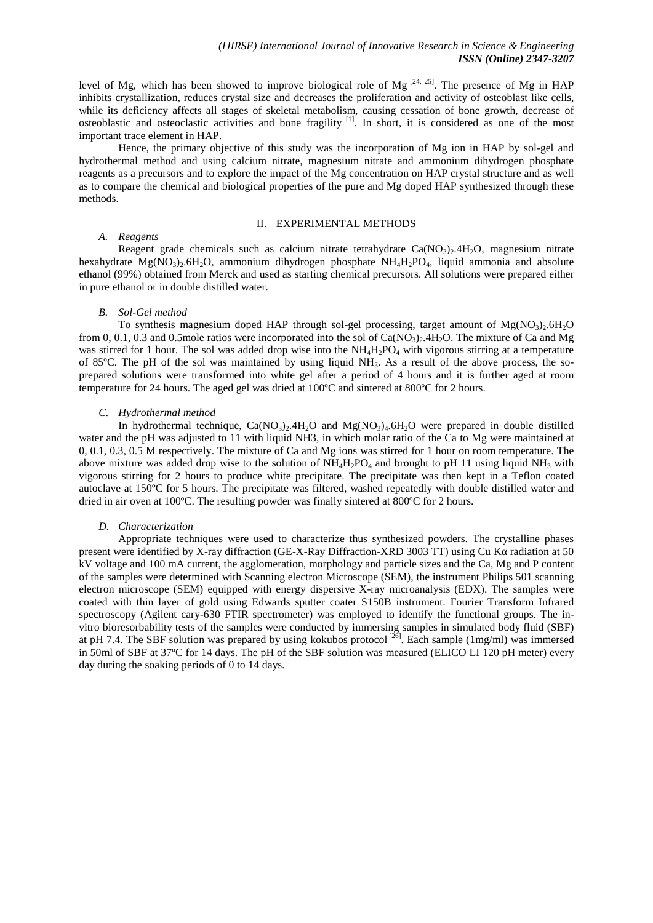level of Mg, which has been showed to improve biological role of Mg  $[24, 25]$ . The presence of Mg in HAP inhibits crystallization, reduces crystal size and decreases the proliferation and activity of osteoblast like cells, while its deficiency affects all stages of skeletal metabolism, causing cessation of bone growth, decrease of osteoblastic and osteoclastic activities and bone fragility [1]. In short, it is considered as one of the most important trace element in HAP.

Hence, the primary objective of this study was the incorporation of Mg ion in HAP by sol-gel and hydrothermal method and using calcium nitrate, magnesium nitrate and ammonium dihydrogen phosphate reagents as a precursors and to explore the impact of the Mg concentration on HAP crystal structure and as well as to compare the chemical and biological properties of the pure and Mg doped HAP synthesized through these methods.

## II. EXPERIMENTAL METHODS

## *A. Reagents*

Reagent grade chemicals such as calcium nitrate tetrahydrate  $Ca(NQ<sub>3</sub>)<sub>2</sub>4H<sub>2</sub>O$ , magnesium nitrate hexahydrate  $Mg(NQ_3)_2.6H_2O$ , ammonium dihydrogen phosphate  $NH_4H_2PO_4$ , liquid ammonia and absolute ethanol (99%) obtained from Merck and used as starting chemical precursors. All solutions were prepared either in pure ethanol or in double distilled water.

### *B. Sol-Gel method*

To synthesis magnesium doped HAP through sol-gel processing, target amount of  $Mg(NO<sub>3</sub>)<sub>2</sub>6H<sub>2</sub>O$ from 0, 0.1, 0.3 and 0.5mole ratios were incorporated into the sol of  $Ca(NO<sub>3</sub>)<sub>2</sub>$ .4H<sub>2</sub>O. The mixture of Ca and Mg was stirred for 1 hour. The sol was added drop wise into the  $NH<sub>4</sub>H<sub>2</sub>PO<sub>4</sub>$  with vigorous stirring at a temperature of 85 $^{\circ}$ C. The pH of the sol was maintained by using liquid NH<sub>3</sub>. As a result of the above process, the soprepared solutions were transformed into white gel after a period of 4 hours and it is further aged at room temperature for 24 hours. The aged gel was dried at 100ºC and sintered at 800ºC for 2 hours.

## *C. Hydrothermal method*

In hydrothermal technique,  $Ca(NO<sub>3</sub>)<sub>2</sub>$ .4H<sub>2</sub>O and Mg(NO<sub>3</sub>)<sub>4</sub>.6H<sub>2</sub>O were prepared in double distilled water and the pH was adjusted to 11 with liquid NH3, in which molar ratio of the Ca to Mg were maintained at 0, 0.1, 0.3, 0.5 M respectively. The mixture of Ca and Mg ions was stirred for 1 hour on room temperature. The above mixture was added drop wise to the solution of  $NH_4H_2PO_4$  and brought to pH 11 using liquid NH<sub>3</sub> with vigorous stirring for 2 hours to produce white precipitate. The precipitate was then kept in a Teflon coated autoclave at 150ºC for 5 hours. The precipitate was filtered, washed repeatedly with double distilled water and dried in air oven at 100ºC. The resulting powder was finally sintered at 800ºC for 2 hours.

#### *D. Characterization*

Appropriate techniques were used to characterize thus synthesized powders. The crystalline phases present were identified by X-ray diffraction (GE-X-Ray Diffraction-XRD 3003 TT) using Cu K radiation at 50 kV voltage and 100 mA current, the agglomeration, morphology and particle sizes and the Ca, Mg and P content of the samples were determined with Scanning electron Microscope (SEM), the instrument Philips 501 scanning electron microscope (SEM) equipped with energy dispersive X-ray microanalysis (EDX). The samples were coated with thin layer of gold using Edwards sputter coater S150B instrument. Fourier Transform Infrared spectroscopy (Agilent cary-630 FTIR spectrometer) was employed to identify the functional groups. The in vitro bioresorbability tests of the samples were conducted by immersing samples in simulated body fluid (SBF) at pH 7.4. The SBF solution was prepared by using kokubos protocol<sup>[26]</sup>. Each sample (1mg/ml) was immersed in 50ml of SBF at 37ºC for 14 days. The pH of the SBF solution was measured (ELICO LI 120 pH meter) every day during the soaking periods of 0 to 14 days.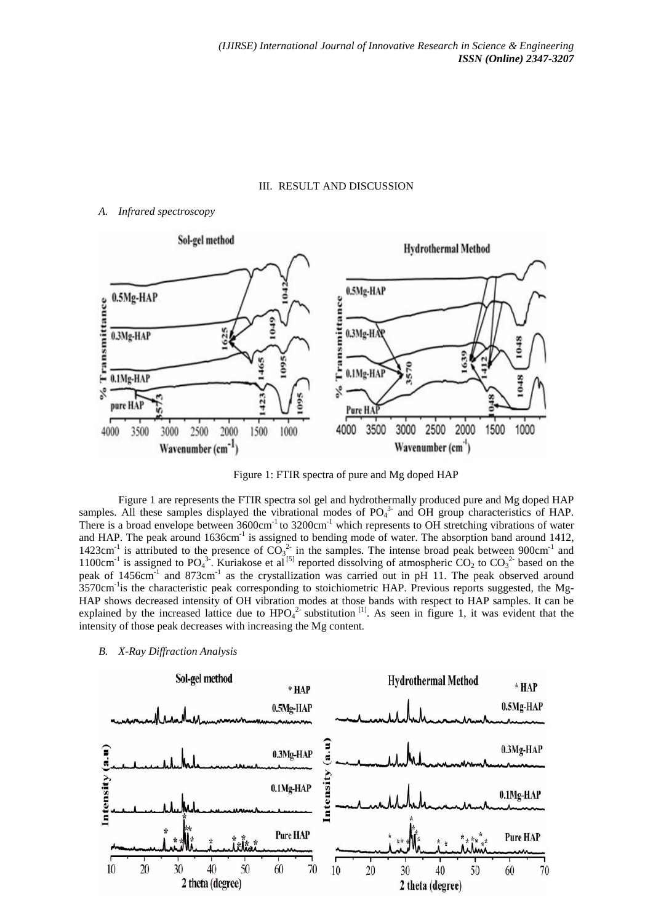## III. RESULT AND DISCUSSION

## *A. Infrared spectroscopy*



Figure 1: FTIR spectra of pure and Mg doped HAP

Figure 1 are represents the FTIR spectra sol gel and hydrothermally produced pure and Mg doped HAP samples. All these samples displayed the vibrational modes of  $PO<sub>4</sub><sup>3</sup>$  and OH group characteristics of HAP. There is a broad envelope between  $3600 \text{cm}^{-1}$  to  $3200 \text{cm}^{-1}$  which represents to OH stretching vibrations of water and HAP. The peak around 1636cm<sup>-1</sup> is assigned to bending mode of water. The absorption band around 1412, 1423cm<sup>-1</sup> is attributed to the presence of  $CO_3^2$  in the samples. The intense broad peak between 900cm<sup>-1</sup> and 1100cm<sup>-1</sup> is assigned to PO<sub>4</sub><sup>3</sup>. Kuriakose et al<sup>[5]</sup> reported dissolving of atmospheric CO<sub>2</sub> to CO<sub>3</sub><sup>2</sup> based on the peak of 1456 $cm^{-1}$  and 873 $cm^{-1}$  as the crystallization was carried out in pH 11. The peak observed around 3570cm<sup>-1</sup>is the characteristic peak corresponding to stoichiometric HAP. Previous reports suggested, the Mg-HAP shows decreased intensity of OH vibration modes at those bands with respect to HAP samples. It can be explained by the increased lattice due to  $HPO_4^{2}$  substitution <sup>[1]</sup>. As seen in figure 1, it was evident that the intensity of those peak decreases with increasing the Mg content.

*B. X-Ray Diffraction Analysis*

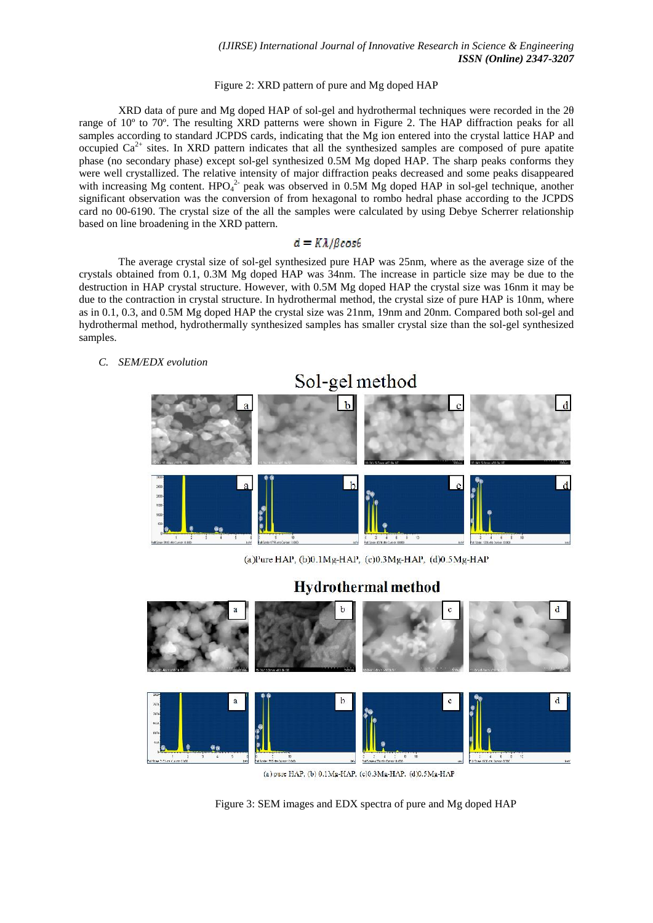# Figure 2: XRD pattern of pure and Mg doped HAP

XRD data of pure and Mg doped HAP of sol-gel and hydrothermal techniques were recorded in the 2 range of 10º to 70º. The resulting XRD patterns were shown in Figure 2. The HAP diffraction peaks for all samples according to standard JCPDS cards, indicating that the Mg ion entered into the crystal lattice HAP and occupied  $Ca^{2+}$  sites. In XRD pattern indicates that all the synthesized samples are composed of pure apatite phase (no secondary phase) except sol-gel synthesized 0.5M Mg doped HAP. The sharp peaks conforms they were well crystallized. The relative intensity of major diffraction peaks decreased and some peaks disappeared with increasing Mg content.  $HPO<sub>4</sub><sup>2</sup>$  peak was observed in 0.5M Mg doped HAP in sol-gel technique, another significant observation was the conversion of from hexagonal to rombo hedral phase according to the JCPDS card no 00-6190. The crystal size of the all the samples were calculated by using Debye Scherrer relationship based on line broadening in the XRD pattern.

## $d = K\lambda/BCos\theta$

The average crystal size of sol-gel synthesized pure HAP was 25nm, where as the average size of the crystals obtained from 0.1, 0.3M Mg doped HAP was 34nm. The increase in particle size may be due to the destruction in HAP crystal structure. However, with 0.5M Mg doped HAP the crystal size was 16nm it may be due to the contraction in crystal structure. In hydrothermal method, the crystal size of pure HAP is 10nm, where as in 0.1, 0.3, and 0.5M Mg doped HAP the crystal size was 21nm, 19nm and 20nm. Compared both sol-gel and hydrothermal method, hydrothermally synthesized samples has smaller crystal size than the sol-gel synthesized samples.

# *C. SEM/EDX evolution*



(a) pure HAP, (b)  $0.1\text{Mg-HAP}$ , (c) $0.3\text{Mg-HAP}$ . (d) $0.5\text{Mg-HAP}$ 

Figure 3: SEM images and EDX spectra of pure and Mg doped HAP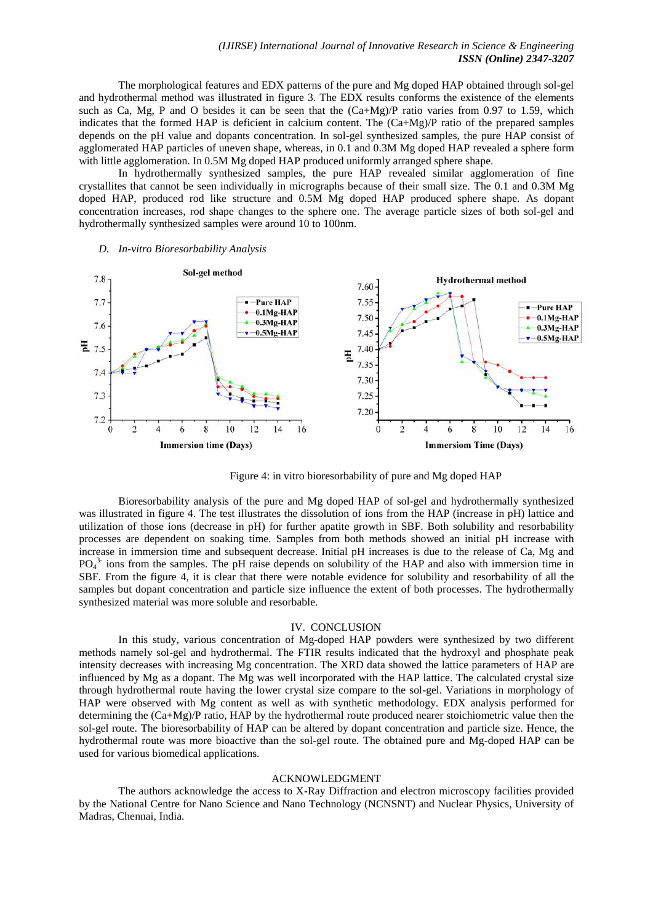The morphological features and EDX patterns of the pure and Mg doped HAP obtained through sol-gel and hydrothermal method was illustrated in figure 3. The EDX results conforms the existence of the elements such as Ca, Mg, P and O besides it can be seen that the  $(Ca+Mg)/P$  ratio varies from 0.97 to 1.59, which indicates that the formed HAP is deficient in calcium content. The  $(Ca+Mg)/P$  ratio of the prepared samples depends on the pH value and dopants concentration. In sol-gel synthesized samples, the pure HAP consist of agglomerated HAP particles of uneven shape, whereas, in 0.1 and 0.3M Mg doped HAP revealed a sphere form with little agglomeration. In 0.5M Mg doped HAP produced uniformly arranged sphere shape.

In hydrothermally synthesized samples, the pure HAP revealed similar agglomeration of fine crystallites that cannot be seen individually in micrographs because of their small size. The 0.1 and 0.3M Mg doped HAP, produced rod like structure and 0.5M Mg doped HAP produced sphere shape. As dopant concentration increases, rod shape changes to the sphere one. The average particle sizes of both sol-gel and hydrothermally synthesized samples were around 10 to 100nm.



#### *D. In-vitro Bioresorbability Analysis*

Figure 4: in vitro bioresorbability of pure and Mg doped HAP

Bioresorbability analysis of the pure and Mg doped HAP of sol-gel and hydrothermally synthesized was illustrated in figure 4. The test illustrates the dissolution of ions from the HAP (increase in pH) lattice and utilization of those ions (decrease in pH) for further apatite growth in SBF. Both solubility and resorbability processes are dependent on soaking time. Samples from both methods showed an initial pH increase with increase in immersion time and subsequent decrease. Initial pH increases is due to the release of Ca, Mg and  $PO<sub>4</sub><sup>3</sup>$  ions from the samples. The pH raise depends on solubility of the HAP and also with immersion time in SBF. From the figure 4, it is clear that there were notable evidence for solubility and resorbability of all the samples but dopant concentration and particle size influence the extent of both processes. The hydrothermally synthesized material was more soluble and resorbable.

#### IV. CONCLUSION

In this study, various concentration of Mg-doped HAP powders were synthesized by two different methods namely sol-gel and hydrothermal. The FTIR results indicated that the hydroxyl and phosphate peak intensity decreases with increasing Mg concentration. The XRD data showed the lattice parameters of HAP are influenced by Mg as a dopant. The Mg was well incorporated with the HAP lattice. The calculated crystal size through hydrothermal route having the lower crystal size compare to the sol-gel. Variations in morphology of HAP were observed with Mg content as well as with synthetic methodology. EDX analysis performed for determining the  $(Ca+Mg)/P$  ratio, HAP by the hydrothermal route produced nearer stoichiometric value then the sol-gel route. The bioresorbability of HAP can be altered by dopant concentration and particle size. Hence, the hydrothermal route was more bioactive than the sol-gel route. The obtained pure and Mg-doped HAP can be used for various biomedical applications.

#### ACKNOWLEDGMENT

The authors acknowledge the access to X-Ray Diffraction and electron microscopy facilities provided by the National Centre for Nano Science and Nano Technology (NCNSNT) and Nuclear Physics, University of Madras, Chennai, India.